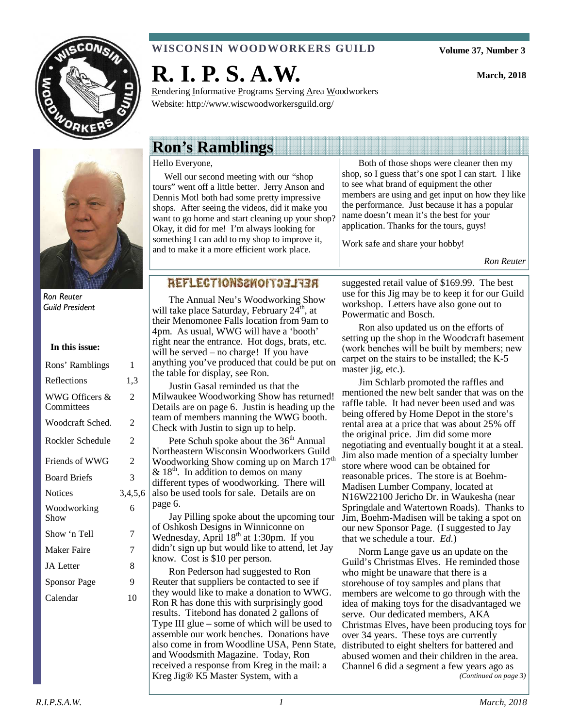

#### **WISCONSIN WOODWORKERS GUILD**

**Volume 37, Number 3** 

**March, 2018** 



Ron Reuter Guild President

| In this issue:               |                |
|------------------------------|----------------|
| Rons' Ramblings              | 1              |
| Reflections                  | 1,3            |
| WWG Officers &<br>Committees | 2              |
| Woodcraft Sched.             | 2              |
| Rockler Schedule             | 2              |
| Friends of WWG               | $\mathfrak{D}$ |
| <b>Board Briefs</b>          | 3              |
| <b>Notices</b>               | 3,4,5,6        |
| Woodworking<br>Show          | 6              |
| Show 'n Tell                 | 7              |
| Maker Faire                  | 7              |
| <b>JA</b> Letter             | 8              |
| Sponsor Page                 | 9              |
| Calendar                     | 10             |
|                              |                |

# **R. I. P. S. A.W.**

Rendering Informative Programs Serving Area Woodworkers Website: http://www.wiscwoodworkersguild.org/

## **Ron's Ramblings**

#### Hello Everyone,

 Well our second meeting with our "shop tours" went off a little better. Jerry Anson and Dennis Motl both had some pretty impressive shops. After seeing the videos, did it make you want to go home and start cleaning up your shop? Okay, it did for me! I'm always looking for something I can add to my shop to improve it, and to make it a more efficient work place.

Both of those shops were cleaner then my shop, so I guess that's one spot I can start. I like to see what brand of equipment the other members are using and get input on how they like the performance. Just because it has a popular name doesn't mean it's the best for your application. Thanks for the tours, guys!

Work safe and share your hobby!

*Ron Reuter* 

#### REFLECTIONS&NOIT33AT

The Annual Neu's Woodworking Show will take place Saturday, February  $24<sup>th</sup>$ , at their Menomonee Falls location from 9am to 4pm. As usual, WWG will have a 'booth' right near the entrance. Hot dogs, brats, etc. will be served – no charge! If you have anything you've produced that could be put on the table for display, see Ron.

Justin Gasal reminded us that the Milwaukee Woodworking Show has returned! Details are on page 6. Justin is heading up the team of members manning the WWG booth. Check with Justin to sign up to help.

Pete Schuh spoke about the 36<sup>th</sup> Annual Northeastern Wisconsin Woodworkers Guild Woodworking Show coming up on March 17<sup>th</sup>  $& 18<sup>th</sup>$ . In addition to demos on many different types of woodworking. There will also be used tools for sale. Details are on page 6.

Jay Pilling spoke about the upcoming tour of Oshkosh Designs in Winniconne on Wednesday, April  $18<sup>th</sup>$  at 1:30pm. If you didn't sign up but would like to attend, let Jay know. Cost is \$10 per person.

Ron Pederson had suggested to Ron Reuter that suppliers be contacted to see if they would like to make a donation to WWG. Ron R has done this with surprisingly good results. Titebond has donated 2 gallons of Type III glue – some of which will be used to assemble our work benches. Donations have also come in from Woodline USA, Penn State, and Woodsmith Magazine. Today, Ron received a response from Kreg in the mail: a Kreg Jig® K5 Master System, with a

suggested retail value of \$169.99. The best use for this Jig may be to keep it for our Guild workshop. Letters have also gone out to Powermatic and Bosch.

Ron also updated us on the efforts of setting up the shop in the Woodcraft basement (work benches will be built by members; new carpet on the stairs to be installed; the K-5 master jig, etc.).

Jim Schlarb promoted the raffles and mentioned the new belt sander that was on the raffle table. It had never been used and was being offered by Home Depot in the store's rental area at a price that was about 25% off the original price. Jim did some more negotiating and eventually bought it at a steal. Jim also made mention of a specialty lumber store where wood can be obtained for reasonable prices. The store is at Boehm-Madisen Lumber Company, located at N16W22100 Jericho Dr. in Waukesha (near Springdale and Watertown Roads). Thanks to Jim, Boehm-Madisen will be taking a spot on our new Sponsor Page. (I suggested to Jay that we schedule a tour. *Ed.*)

Norm Lange gave us an update on the Guild's Christmas Elves. He reminded those who might be unaware that there is a storehouse of toy samples and plans that members are welcome to go through with the idea of making toys for the disadvantaged we serve. Our dedicated members, AKA Christmas Elves, have been producing toys for over 34 years. These toys are currently distributed to eight shelters for battered and abused women and their children in the area. Channel 6 did a segment a few years ago as *(Continued on page 3)*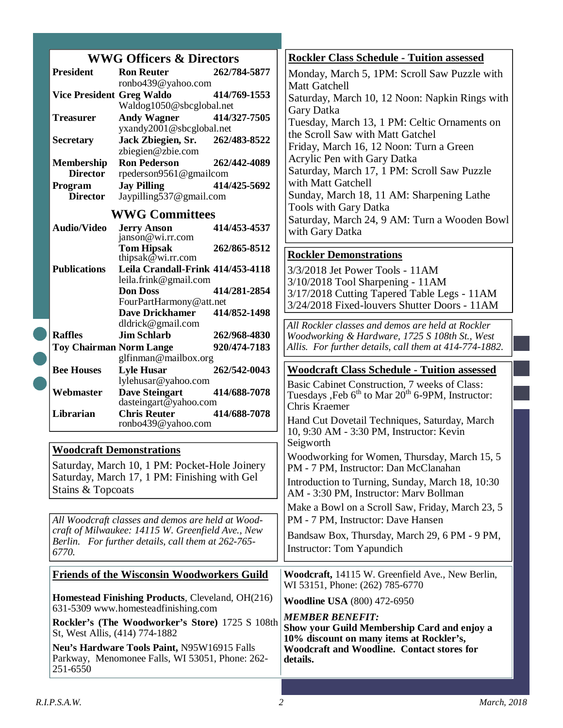|                                                    |                                                                   | <b>WWG Officers &amp; Directors</b>                                               |                                                                                       | <b>Rockler Class Schedule - Tuition assessed</b>                                                    |
|----------------------------------------------------|-------------------------------------------------------------------|-----------------------------------------------------------------------------------|---------------------------------------------------------------------------------------|-----------------------------------------------------------------------------------------------------|
|                                                    | <b>President</b>                                                  | <b>Ron Reuter</b>                                                                 | 262/784-5877                                                                          | Monday, March 5, 1PM: Scroll Saw Puzzle with                                                        |
|                                                    |                                                                   | ronbo439@yahoo.com                                                                |                                                                                       | Matt Gatchell                                                                                       |
|                                                    | <b>Vice President Greg Waldo</b>                                  | Waldog1050@sbcglobal.net                                                          | 414/769-1553                                                                          | Saturday, March 10, 12 Noon: Napkin Rings with                                                      |
|                                                    | <b>Treasurer</b>                                                  | <b>Andy Wagner</b>                                                                | 414/327-7505                                                                          | Gary Datka                                                                                          |
|                                                    |                                                                   | yxandy2001@sbcglobal.net                                                          |                                                                                       | Tuesday, March 13, 1 PM: Celtic Ornaments on<br>the Scroll Saw with Matt Gatchel                    |
|                                                    | <b>Secretary</b>                                                  | Jack Zbiegien, Sr.                                                                | 262/483-8522                                                                          | Friday, March 16, 12 Noon: Turn a Green                                                             |
|                                                    | Membership                                                        | zbiegien@zbie.com<br><b>Ron Pederson</b>                                          | 262/442-4089                                                                          | Acrylic Pen with Gary Datka                                                                         |
|                                                    | <b>Director</b>                                                   | rpederson9561@gmailcom                                                            |                                                                                       | Saturday, March 17, 1 PM: Scroll Saw Puzzle                                                         |
|                                                    | Program                                                           | <b>Jay Pilling</b>                                                                | 414/425-5692                                                                          | with Matt Gatchell                                                                                  |
|                                                    | <b>Director</b>                                                   | Jaypilling537@gmail.com                                                           |                                                                                       | Sunday, March 18, 11 AM: Sharpening Lathe                                                           |
|                                                    |                                                                   | <b>WWG Committees</b>                                                             |                                                                                       | <b>Tools with Gary Datka</b><br>Saturday, March 24, 9 AM: Turn a Wooden Bowl                        |
|                                                    | <b>Audio/Video</b>                                                | <b>Jerry Anson</b><br>janson@wi.rr.com                                            | 414/453-4537                                                                          | with Gary Datka                                                                                     |
|                                                    |                                                                   | <b>Tom Hipsak</b>                                                                 | 262/865-8512                                                                          | <b>Rockler Demonstrations</b>                                                                       |
|                                                    |                                                                   | thipsak $@$ wi.rr.com                                                             |                                                                                       |                                                                                                     |
|                                                    | <b>Publications</b>                                               | Leila Crandall-Frink 414/453-4118<br>leila.frink@gmail.com                        |                                                                                       | 3/3/2018 Jet Power Tools - 11AM<br>3/10/2018 Tool Sharpening - 11AM                                 |
|                                                    |                                                                   | <b>Don Doss</b>                                                                   | 414/281-2854                                                                          | 3/17/2018 Cutting Tapered Table Legs - 11AM                                                         |
|                                                    |                                                                   | FourPartHarmony@att.net                                                           |                                                                                       | 3/24/2018 Fixed-louvers Shutter Doors - 11AM                                                        |
|                                                    |                                                                   | <b>Dave Drickhamer</b><br>dldrick@gmail.com                                       | 414/852-1498                                                                          |                                                                                                     |
|                                                    | <b>Raffles</b>                                                    | <b>Jim Schlarb</b>                                                                | 262/968-4830                                                                          | All Rockler classes and demos are held at Rockler<br>Woodworking & Hardware, 1725 S 108th St., West |
|                                                    | <b>Toy Chairman Norm Lange</b>                                    |                                                                                   | 920/474-7183                                                                          | Allis. For further details, call them at 414-774-1882.                                              |
| glfinman@mailbox.org                               |                                                                   |                                                                                   |                                                                                       |                                                                                                     |
|                                                    | <b>Bee Houses</b>                                                 | <b>Lyle Husar</b>                                                                 | 262/542-0043                                                                          | <b>Woodcraft Class Schedule - Tuition assessed</b>                                                  |
|                                                    | Webmaster                                                         | lylehusar@yahoo.com<br><b>Dave Steingart</b>                                      | 414/688-7078                                                                          | Basic Cabinet Construction, 7 weeks of Class:                                                       |
|                                                    |                                                                   | dasteingart@yahoo.com                                                             |                                                                                       | Tuesdays , Feb 6 <sup>th</sup> to Mar 20 <sup>th</sup> 6-9PM, Instructor:<br>Chris Kraemer          |
|                                                    | Librarian                                                         | <b>Chris Reuter</b>                                                               | 414/688-7078                                                                          | Hand Cut Dovetail Techniques, Saturday, March                                                       |
|                                                    |                                                                   | ronbo439@yahoo.com                                                                |                                                                                       | 10, 9:30 AM - 3:30 PM, Instructor: Kevin                                                            |
|                                                    | <b>Woodcraft Demonstrations</b>                                   |                                                                                   |                                                                                       | Seigworth                                                                                           |
| Saturday, March 10, 1 PM: Pocket-Hole Joinery      |                                                                   |                                                                                   | Woodworking for Women, Thursday, March 15, 5<br>PM - 7 PM, Instructor: Dan McClanahan |                                                                                                     |
|                                                    | Saturday, March 17, 1 PM: Finishing with Gel<br>Stains & Topcoats |                                                                                   |                                                                                       | Introduction to Turning, Sunday, March 18, 10:30<br>AM - 3:30 PM, Instructor: Marv Bollman          |
|                                                    |                                                                   |                                                                                   |                                                                                       | Make a Bowl on a Scroll Saw, Friday, March 23, 5                                                    |
|                                                    | All Woodcraft classes and demos are held at Wood-                 |                                                                                   |                                                                                       | PM - 7 PM, Instructor: Dave Hansen                                                                  |
| craft of Milwaukee: 14115 W. Greenfield Ave., New  |                                                                   |                                                                                   |                                                                                       | Bandsaw Box, Thursday, March 29, 6 PM - 9 PM,                                                       |
| Berlin. For further details, call them at 262-765- |                                                                   |                                                                                   | <b>Instructor:</b> Tom Yapundich                                                      |                                                                                                     |
| 6770.                                              |                                                                   |                                                                                   |                                                                                       |                                                                                                     |
| <b>Friends of the Wisconsin Woodworkers Guild</b>  |                                                                   |                                                                                   | Woodcraft, 14115 W. Greenfield Ave., New Berlin,                                      |                                                                                                     |
|                                                    |                                                                   |                                                                                   |                                                                                       |                                                                                                     |
|                                                    |                                                                   | Homestead Finishing Products, Cleveland, OH(216)                                  |                                                                                       | WI 53151, Phone: (262) 785-6770<br><b>Woodline USA (800) 472-6950</b>                               |
|                                                    |                                                                   | 631-5309 www.homesteadfinishing.com                                               |                                                                                       | <b>MEMBER BENEFIT:</b>                                                                              |
|                                                    |                                                                   | Rockler's (The Woodworker's Store) 1725 S 108th<br>St, West Allis, (414) 774-1882 |                                                                                       | Show your Guild Membership Card and enjoy a                                                         |
|                                                    |                                                                   | Neu's Hardware Tools Paint, N95W16915 Falls                                       |                                                                                       | 10% discount on many items at Rockler's,<br><b>Woodcraft and Woodline. Contact stores for</b>       |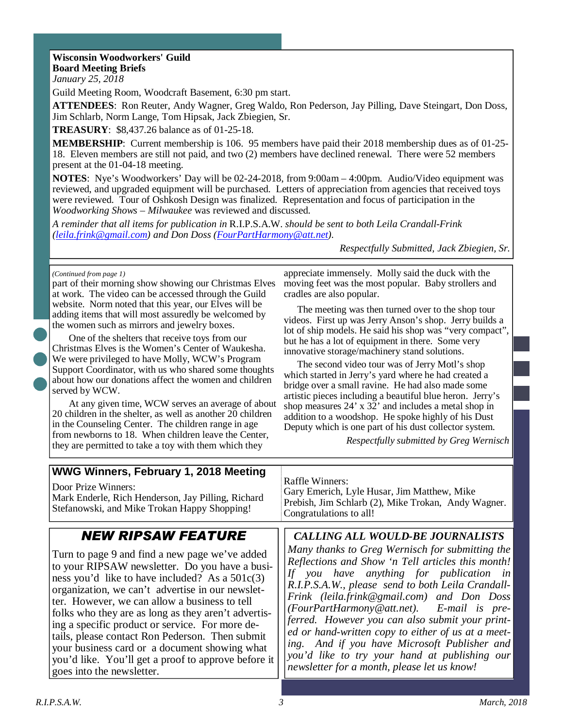#### **Wisconsin Woodworkers' Guild Board Meeting Briefs**

*January 25, 2018* 

Guild Meeting Room, Woodcraft Basement, 6:30 pm start.

**ATTENDEES**: Ron Reuter, Andy Wagner, Greg Waldo, Ron Pederson, Jay Pilling, Dave Steingart, Don Doss, Jim Schlarb, Norm Lange, Tom Hipsak, Jack Zbiegien, Sr.

**TREASURY**: \$8,437.26 balance as of 01-25-18.

**MEMBERSHIP**: Current membership is 106. 95 members have paid their 2018 membership dues as of 01-25- 18. Eleven members are still not paid, and two (2) members have declined renewal. There were 52 members present at the 01-04-18 meeting.

**NOTES**: Nye's Woodworkers' Day will be 02-24-2018, from 9:00am – 4:00pm. Audio/Video equipment was reviewed, and upgraded equipment will be purchased. Letters of appreciation from agencies that received toys were reviewed. Tour of Oshkosh Design was finalized. Representation and focus of participation in the *Woodworking Shows – Milwaukee* was reviewed and discussed.

*A reminder that all items for publication in* R.I.P.S.A.W. *should be sent to both Leila Crandall-Frink (leila.frink@gmail.com) and Don Doss (FourPartHarmony@att.net).* 

*Respectfully Submitted, Jack Zbiegien, Sr.*

#### *(Continued from page 1)*

part of their morning show showing our Christmas Elves at work. The video can be accessed through the Guild website. Norm noted that this year, our Elves will be adding items that will most assuredly be welcomed by the women such as mirrors and jewelry boxes.

One of the shelters that receive toys from our Christmas Elves is the Women's Center of Waukesha. We were privileged to have Molly, WCW's Program Support Coordinator, with us who shared some thoughts about how our donations affect the women and children served by WCW.

At any given time, WCW serves an average of about 20 children in the shelter, as well as another 20 children in the Counseling Center. The children range in age from newborns to 18. When children leave the Center, they are permitted to take a toy with them which they

appreciate immensely. Molly said the duck with the moving feet was the most popular. Baby strollers and cradles are also popular.

The meeting was then turned over to the shop tour videos. First up was Jerry Anson's shop. Jerry builds a lot of ship models. He said his shop was "very compact", but he has a lot of equipment in there. Some very innovative storage/machinery stand solutions.

The second video tour was of Jerry Motl's shop which started in Jerry's yard where he had created a bridge over a small ravine. He had also made some artistic pieces including a beautiful blue heron. Jerry's shop measures 24' x 32' and includes a metal shop in addition to a woodshop. He spoke highly of his Dust Deputy which is one part of his dust collector system.

*Respectfully submitted by Greg Wernisch* 

| WWG Winners, February 1, 2018 Meeting               | <b>Raffle Winners:</b>                              |  |
|-----------------------------------------------------|-----------------------------------------------------|--|
| Door Prize Winners:                                 | Gary Emerich, Lyle Husar, Jim Matthew, Mike         |  |
| Mark Enderle, Rich Henderson, Jay Pilling, Richard  | Prebish, Jim Schlarb (2), Mike Trokan, Andy Wagner. |  |
| Stefanowski, and Mike Trokan Happy Shopping!        | Congratulations to all!                             |  |
| <b>NEW RIPSAW FEATURE</b>                           | <b>CALLING ALL WOULD-BE JOURNALISTS</b>             |  |
| Turn to page 9 and find a new page we've added      | Many thanks to Greg Wernisch for submitting the     |  |
| to your RIPSAW newsletter. Do you have a busi-      | Reflections and Show 'n Tell articles this month!   |  |
| ness you'd like to have included? As a $501c(3)$    | If you have anything for publication in             |  |
| organization, we can't advertise in our newslet-    | R.I.P.S.A.W., please send to both Leila Crandall-   |  |
| ter. However, we can allow a business to tell       | Frink (leila.frink@gmail.com) and Don Doss          |  |
| folks who they are as long as they aren't advertis- | (FourPartHarmony@att.net). E-mail is pre-           |  |
| ing a specific product or service. For more de-     | ferred. However you can also submit your print-     |  |
| tails, please contact Ron Pederson. Then submit     | ed or hand-written copy to either of us at a meet-  |  |
| your business card or a document showing what       | ing. And if you have Microsoft Publisher and        |  |
| you'd like. You'll get a proof to approve before it | you'd like to try your hand at publishing our       |  |
| goes into the newsletter.                           | newsletter for a month, please let us know!         |  |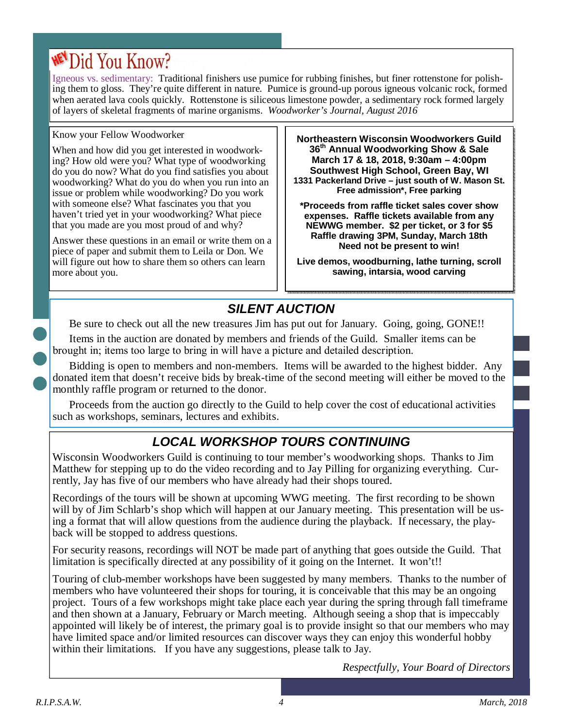# **WEN** Did You Know?

Igneous vs. sedimentary: Traditional finishers use pumice for rubbing finishes, but finer rottenstone for polishing them to gloss. They're quite different in nature. Pumice is ground-up porous igneous volcanic rock, formed when aerated lava cools quickly. Rottenstone is siliceous limestone powder, a sedimentary rock formed largely of layers of skeletal fragments of marine organisms. *Woodworker's Journal, August 2016* 

#### Know your Fellow Woodworker

When and how did you get interested in woodworking? How old were you? What type of woodworking do you do now? What do you find satisfies you about woodworking? What do you do when you run into an issue or problem while woodworking? Do you work with someone else? What fascinates you that you haven't tried yet in your woodworking? What piece that you made are you most proud of and why?

Answer these questions in an email or write them on a piece of paper and submit them to Leila or Don. We will figure out how to share them so others can learn more about you.

**Northeastern Wisconsin Woodworkers Guild 36th Annual Woodworking Show & Sale March 17 & 18, 2018, 9:30am – 4:00pm Southwest High School, Green Bay, WI 1331 Packerland Drive – just south of W. Mason St. Free admission\*, Free parking** 

**\*Proceeds from raffle ticket sales cover show expenses. Raffle tickets available from any NEWWG member. \$2 per ticket, or 3 for \$5 Raffle drawing 3PM, Sunday, March 18th Need not be present to win!** 

**Live demos, woodburning, lathe turning, scroll sawing, intarsia, wood carving** 

# **SILENT AUCTION**

Be sure to check out all the new treasures Jim has put out for January. Going, going, GONE!!

Items in the auction are donated by members and friends of the Guild. Smaller items can be brought in; items too large to bring in will have a picture and detailed description.

Bidding is open to members and non-members. Items will be awarded to the highest bidder. Any donated item that doesn't receive bids by break-time of the second meeting will either be moved to the monthly raffle program or returned to the donor.

Proceeds from the auction go directly to the Guild to help cover the cost of educational activities such as workshops, seminars, lectures and exhibits.

# **LOCAL WORKSHOP TOURS CONTINUING**

Wisconsin Woodworkers Guild is continuing to tour member's woodworking shops. Thanks to Jim Matthew for stepping up to do the video recording and to Jay Pilling for organizing everything. Currently, Jay has five of our members who have already had their shops toured.

Recordings of the tours will be shown at upcoming WWG meeting. The first recording to be shown will by of Jim Schlarb's shop which will happen at our January meeting. This presentation will be using a format that will allow questions from the audience during the playback. If necessary, the playback will be stopped to address questions.

For security reasons, recordings will NOT be made part of anything that goes outside the Guild. That limitation is specifically directed at any possibility of it going on the Internet. It won't!!

Touring of club-member workshops have been suggested by many members. Thanks to the number of members who have volunteered their shops for touring, it is conceivable that this may be an ongoing project. Tours of a few workshops might take place each year during the spring through fall timeframe and then shown at a January, February or March meeting. Although seeing a shop that is impeccably appointed will likely be of interest, the primary goal is to provide insight so that our members who may have limited space and/or limited resources can discover ways they can enjoy this wonderful hobby within their limitations. If you have any suggestions, please talk to Jay.

*Respectfully, Your Board of Directors*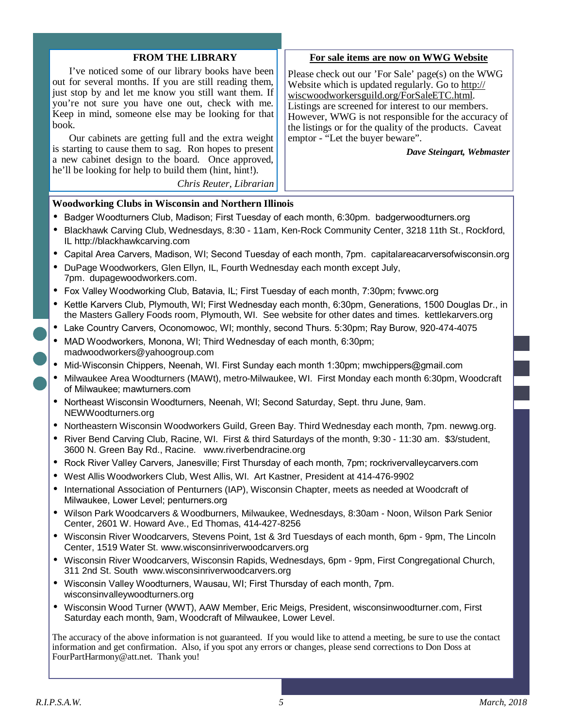#### **FROM THE LIBRARY**

I've noticed some of our library books have been out for several months. If you are still reading them, just stop by and let me know you still want them. If you're not sure you have one out, check with me. Keep in mind, someone else may be looking for that book.

Our cabinets are getting full and the extra weight is starting to cause them to sag. Ron hopes to present a new cabinet design to the board. Once approved, he'll be looking for help to build them (hint, hint!).

*Chris Reuter, Librarian* 

#### **For sale items are now on WWG Website**

Please check out our 'For Sale' page(s) on the WWG Website which is updated regularly. Go to http:// wiscwoodworkersguild.org/ForSaleETC.html. Listings are screened for interest to our members. However, WWG is not responsible for the accuracy of the listings or for the quality of the products. Caveat emptor - "Let the buyer beware".

*Dave Steingart, Webmaster* 

#### **Woodworking Clubs in Wisconsin and Northern Illinois**

- Badger Woodturners Club, Madison; First Tuesday of each month, 6:30pm. badgerwoodturners.org
- Blackhawk Carving Club, Wednesdays, 8:30 11am, Ken-Rock Community Center, 3218 11th St., Rockford, IL http://blackhawkcarving.com
- Capital Area Carvers, Madison, WI; Second Tuesday of each month, 7pm. capitalareacarversofwisconsin.org
- DuPage Woodworkers, Glen Ellyn, IL, Fourth Wednesday each month except July, 7pm. dupagewoodworkers.com.
- Fox Valley Woodworking Club, Batavia, IL; First Tuesday of each month, 7:30pm; fvwwc.org
- Kettle Karvers Club, Plymouth, WI; First Wednesday each month, 6:30pm, Generations, 1500 Douglas Dr., in the Masters Gallery Foods room, Plymouth, WI. See website for other dates and times. kettlekarvers.org
- Lake Country Carvers, Oconomowoc, WI; monthly, second Thurs. 5:30pm; Ray Burow, 920-474-4075
- MAD Woodworkers, Monona, WI; Third Wednesday of each month, 6:30pm; madwoodworkers@yahoogroup.com
- Mid-Wisconsin Chippers, Neenah, WI. First Sunday each month 1:30pm; mwchippers@gmail.com
- Milwaukee Area Woodturners (MAWt), metro-Milwaukee, WI. First Monday each month 6:30pm, Woodcraft of Milwaukee; mawturners.com
- Northeast Wisconsin Woodturners, Neenah, WI; Second Saturday, Sept. thru June, 9am. NEWWoodturners.org
- Northeastern Wisconsin Woodworkers Guild, Green Bay. Third Wednesday each month, 7pm. newwg.org.
- River Bend Carving Club, Racine, WI. First & third Saturdays of the month, 9:30 11:30 am. \$3/student, 3600 N. Green Bay Rd., Racine. www.riverbendracine.org
- Rock River Valley Carvers, Janesville; First Thursday of each month, 7pm; rockrivervalleycarvers.com
- West Allis Woodworkers Club, West Allis, WI. Art Kastner, President at 414-476-9902
- International Association of Penturners (IAP), Wisconsin Chapter, meets as needed at Woodcraft of Milwaukee, Lower Level; penturners.org
- Wilson Park Woodcarvers & Woodburners, Milwaukee, Wednesdays, 8:30am Noon, Wilson Park Senior Center, 2601 W. Howard Ave., Ed Thomas, 414-427-8256
- Wisconsin River Woodcarvers, Stevens Point, 1st & 3rd Tuesdays of each month, 6pm 9pm, The Lincoln Center, 1519 Water St. www.wisconsinriverwoodcarvers.org
- Wisconsin River Woodcarvers, Wisconsin Rapids, Wednesdays, 6pm 9pm, First Congregational Church, 311 2nd St. South www.wisconsinriverwoodcarvers.org
- Wisconsin Valley Woodturners, Wausau, WI; First Thursday of each month, 7pm. wisconsinvalleywoodturners.org
- Wisconsin Wood Turner (WWT), AAW Member, Eric Meigs, President, wisconsinwoodturner.com, First Saturday each month, 9am, Woodcraft of Milwaukee, Lower Level.

The accuracy of the above information is not guaranteed. If you would like to attend a meeting, be sure to use the contact information and get confirmation. Also, if you spot any errors or changes, please send corrections to Don Doss at FourPartHarmony@att.net. Thank you!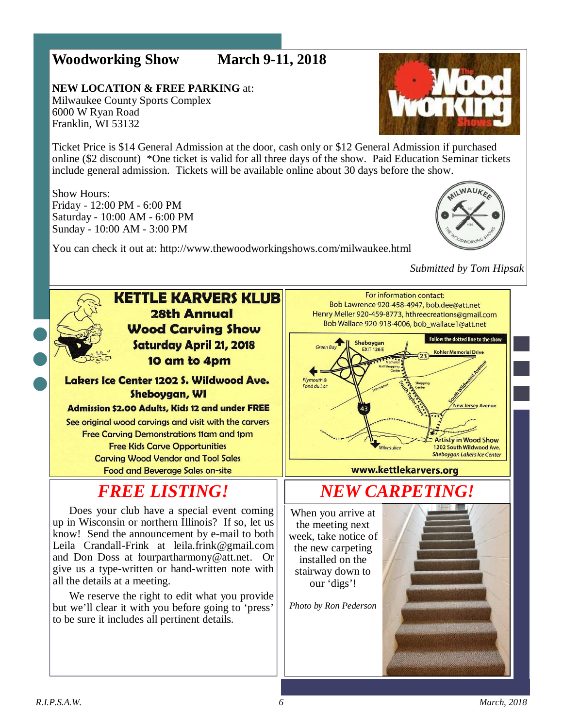### **Woodworking Show March 9-11, 2018**

**NEW LOCATION & FREE PARKING** at: Milwaukee County Sports Complex 6000 W Ryan Road Franklin, WI 53132

**Vvork** 

Ticket Price is \$14 General Admission at the door, cash only or \$12 General Admission if purchased online (\$2 discount) \*One ticket is valid for all three days of the show. Paid Education Seminar tickets include general admission. Tickets will be available online about 30 days before the show.

Show Hours: Friday - 12:00 PM - 6:00 PM Saturday - 10:00 AM - 6:00 PM Sunday - 10:00 AM - 3:00 PM



You can check it out at: http://www.thewoodworkingshows.com/milwaukee.html

#### *Submitted by Tom Hipsak*

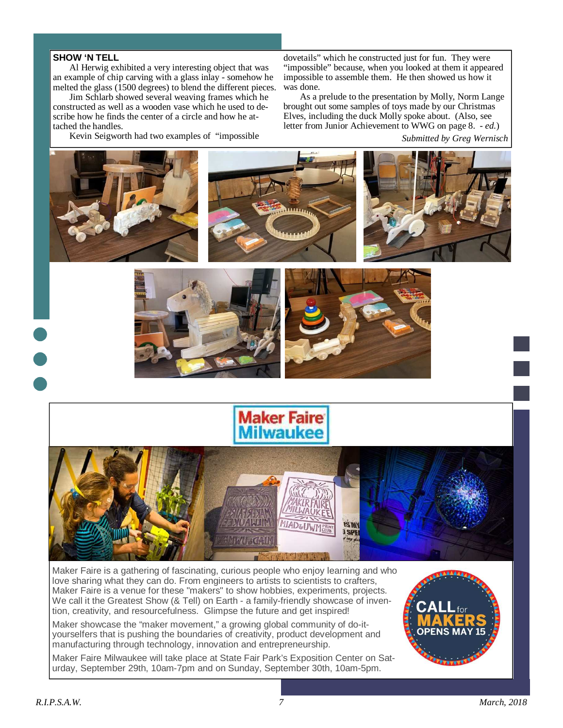#### **SHOW 'N TELL**

Al Herwig exhibited a very interesting object that was an example of chip carving with a glass inlay - somehow he melted the glass (1500 degrees) to blend the different pieces.

Jim Schlarb showed several weaving frames which he constructed as well as a wooden vase which he used to describe how he finds the center of a circle and how he attached the handles.

Kevin Seigworth had two examples of "impossible

dovetails" which he constructed just for fun. They were "impossible" because, when you looked at them it appeared impossible to assemble them. He then showed us how it was done.

As a prelude to the presentation by Molly, Norm Lange brought out some samples of toys made by our Christmas Elves, including the duck Molly spoke about. (Also, see letter from Junior Achievement to WWG on page 8. - *ed.*)

*Submitted by Greg Wernisch* 



We call it the Greatest Show (& Tell) on Earth - a family-friendly showcase of invention, creativity, and resourcefulness. Glimpse the future and get inspired!

Maker showcase the "maker movement," a growing global community of do-ityourselfers that is pushing the boundaries of creativity, product development and manufacturing through technology, innovation and entrepreneurship.

Maker Faire Milwaukee will take place at State Fair Park's Exposition Center on Saturday, September 29th, 10am-7pm and on Sunday, September 30th, 10am-5pm.

![](_page_6_Picture_11.jpeg)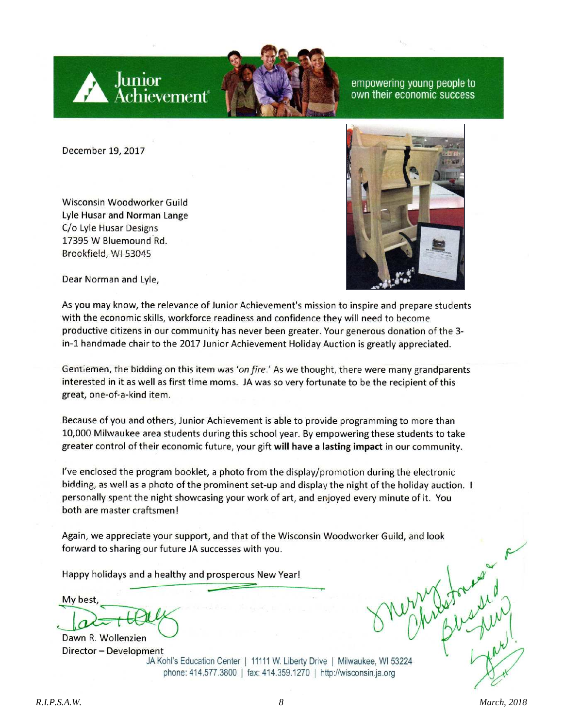![](_page_7_Picture_0.jpeg)

empowering young people to own their economic success

December 19, 2017

Wisconsin Woodworker Guild Lyle Husar and Norman Lange C/o Lyle Husar Designs 17395 W Bluemound Rd. Brookfield, WI 53045

![](_page_7_Picture_4.jpeg)

Dear Norman and Lyle,

As you may know, the relevance of Junior Achievement's mission to inspire and prepare students with the economic skills, workforce readiness and confidence they will need to become productive citizens in our community has never been greater. Your generous donation of the 3in-1 handmade chair to the 2017 Junior Achievement Holiday Auction is greatly appreciated.

Gentiemen, the bidding on this item was 'on fire.' As we thought, there were many grandparents interested in it as well as first time moms. JA was so very fortunate to be the recipient of this great, one-of-a-kind item.

Because of you and others, Junior Achievement is able to provide programming to more than 10,000 Milwaukee area students during this school year. By empowering these students to take greater control of their economic future, your gift will have a lasting impact in our community.

I've enclosed the program booklet, a photo from the display/promotion during the electronic bidding, as well as a photo of the prominent set-up and display the night of the holiday auction. I personally spent the night showcasing your work of art, and enjoyed every minute of it. You both are master craftsmen!

Again, we appreciate your support, and that of the Wisconsin Woodworker Guild, and look forward to sharing our future JA successes with you.

Happy holidays and a healthy and prosperous New Year!

My best, Dawn R. Wollenzien

Director - Development JA Kohl's Education Center | 11111 W. Liberty Drive | Milwaukee, WI 53224 phone: 414.577.3800 | fax: 414.359.1270 | http://wisconsin.ja.org

ernestrened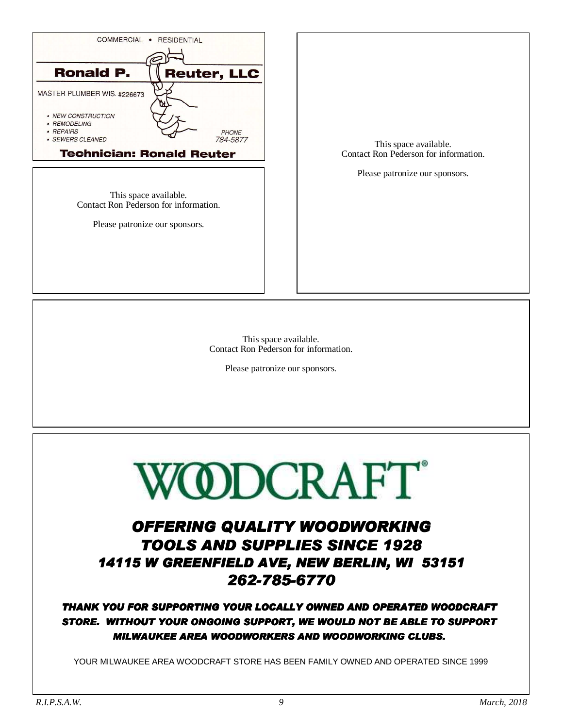![](_page_8_Picture_0.jpeg)

This space available. Contact Ron Pederson for information.

Please patronize our sponsors.

This space available. Contact Ron Pederson for information.

Please patronize our sponsors.

![](_page_8_Picture_5.jpeg)

# OFFERING QUALITY WOODWORKING TOOLS AND SUPPLIES SINCE 1928 14115 W GREENFIELD AVE, NEW BERLIN, WI 53151 262-785-6770

#### THANK YOU FOR SUPPORTING YOUR LOCALLY OWNED AND OPERATED WOODCRAFT STORE. WITHOUT YOUR ONGOING SUPPORT, WE WOULD NOT BE ABLE TO SUPPORT MILWAUKEE AREA WOODWORKERS AND WOODWORKING CLUBS.

YOUR MILWAUKEE AREA WOODCRAFT STORE HAS BEEN FAMILY OWNED AND OPERATED SINCE 1999